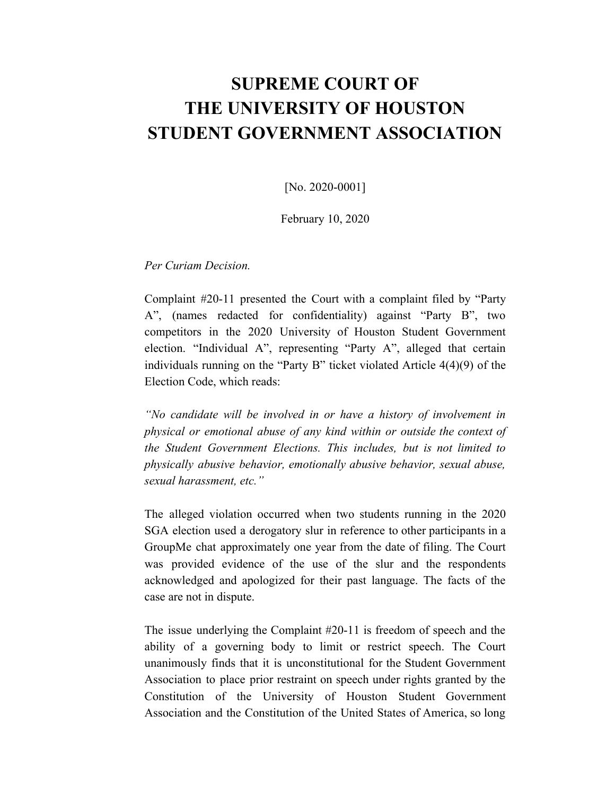## **SUPREME COURT OF THE UNIVERSITY OF HOUSTON STUDENT GOVERNMENT ASSOCIATION**

[No. 2020-0001]

February 10, 2020

*Per Curiam Decision.*

Complaint #20-11 presented the Court with a complaint filed by "Party A", (names redacted for confidentiality) against "Party B", two competitors in the 2020 University of Houston Student Government election. "Individual A", representing "Party A", alleged that certain individuals running on the "Party B" ticket violated Article 4(4)(9) of the Election Code, which reads:

*"No candidate will be involved in or have a history of involvement in physical or emotional abuse of any kind within or outside the context of the Student Government Elections. This includes, but is not limited to physically abusive behavior, emotionally abusive behavior, sexual abuse, sexual harassment, etc."*

The alleged violation occurred when two students running in the 2020 SGA election used a derogatory slur in reference to other participants in a GroupMe chat approximately one year from the date of filing. The Court was provided evidence of the use of the slur and the respondents acknowledged and apologized for their past language. The facts of the case are not in dispute.

The issue underlying the Complaint #20-11 is freedom of speech and the ability of a governing body to limit or restrict speech. The Court unanimously finds that it is unconstitutional for the Student Government Association to place prior restraint on speech under rights granted by the Constitution of the University of Houston Student Government Association and the Constitution of the United States of America, so long